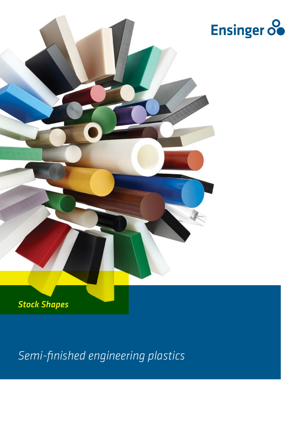

*Semi-finished engineering plastics*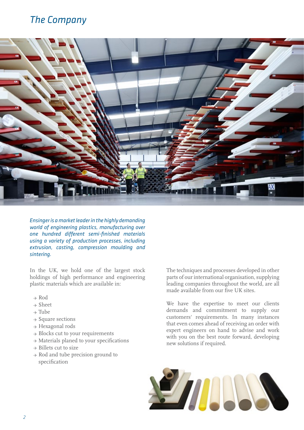# *The Company*



*Ensinger is a market leader in the highly demanding world of engineering plastics, manufacturing over one hundred different semi-finished materials using a variety of production processes, including extrusion, casting, compression moulding and sintering.* 

In the UK, we hold one of the largest stock holdings of high performance and engineering plastic materials which are available in:

- → Rod
- → Sheet
- → Tube
- → Square sections
- → Hexagonal rods
- → Blocks cut to your requirements
- → Materials planed to your specifications
- $\rightarrow$  Billets cut to size
- → Rod and tube precision ground to specification

The techniques and processes developed in other parts of our international organisation, supplying leading companies throughout the world, are all made available from our five UK sites.

We have the expertise to meet our clients demands and commitment to supply our customers' requirements. In many instances that even comes ahead of receiving an order with expert engineers on hand to advise and work with you on the best route forward, developing new solutions if required.

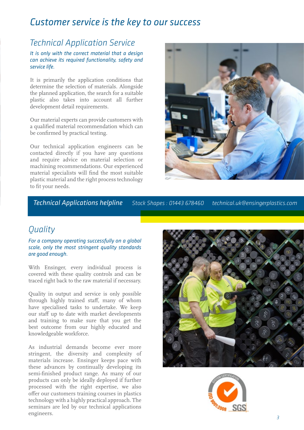## *Customer service is the key to our success*

## *Technical Application Service*

*It is only with the correct material that a design can achieve its required functionality, safety and service life.*

It is primarily the application conditions that determine the selection of materials. Alongside the planned application, the search for a suitable plastic also takes into account all further development detail requirements.

Our material experts can provide customers with a qualified material recommendation which can be confirmed by practical testing.

Our technical application engineers can be contacted directly if you have any questions and require advice on material selection or machining recommendations. Our experienced material specialists will find the most suitable plastic material and the right process technology to fit your needs.



*Technical Applications helpline Stock Shapes : 01443 678460 technical.uk@ensingerplastics.com*

## *Quality*

*For a company operating successfully on a global scale, only the most stringent quality standards are good enough.*

With Ensinger, every individual process is covered with these quality controls and can be traced right back to the raw material if necessary.

Quality in output and service is only possible through highly trained staff, many of whom have specialised tasks to undertake. We keep our staff up to date with market developments and training to make sure that you get the best outcome from our highly educated and knowledgeable workforce.

As industrial demands become ever more stringent, the diversity and complexity of materials increase. Ensinger keeps pace with these advances by continually developing its semi-finished product range. As many of our products can only be ideally deployed if further processed with the right expertise, we also offer our customers training courses in plastics technology with a highly practical approach. The seminars are led by our technical applications engineers.



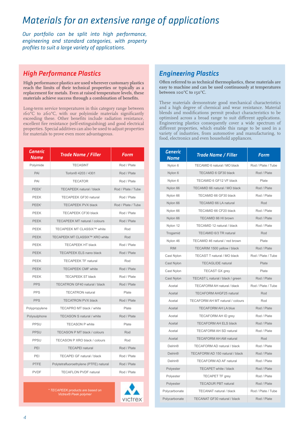# *Materials for an extensive range of applications*

*Our portfolio can be split into high performance, engineering and standard categories, with property profiles to suit a large variety of applications.*

### *High Performance Plastics*

**High performance plastics are used wherever customary plastics reach the limits of their technical properties or typically as a replacement for metals. Even at raised temperature levels, these materials achieve success through a combination of benefits.** 

Long-term service temperatures in this category range between 160°C to 260°C, with our polyimide materials significantly exceeding these. Other benefits include radiation resistance, excellent fire resistance (self-extinguishing) and good electrical properties. Special additives can also be used to adjust properties for materials to prove even more advantageous.

| Generic<br>Name   | <b>Trade Name / Filler</b>             | Form               |
|-------------------|----------------------------------------|--------------------|
| Polyimide         | <b>TECASINT</b>                        | Rod / Plate        |
| PAI               | Torlon® 4203 / 4301                    | Rod / Plate        |
| PAI               | <b>TECATOR</b>                         | Rod / Plate        |
| PEEK*             | <b>TECAPEEK natural / black</b>        | Rod / Plate / Tube |
| <b>PEEK</b>       | <b>TECAPEEK GF30 natural</b>           | Rod / Plate        |
| PEEK <sup>*</sup> | <b>TECAPEEK PVX black</b>              | Rod / Plate / Tube |
| <b>PEEK</b>       | <b>TECAPEEK CF30 black</b>             | Rod / Plate        |
| PEEK              | <b>TECAPEEK MT natural / colours</b>   | Rod / Plate        |
| PEEK              | TECAPEEK MT CLASSIX™ white             | Rod                |
| PEEK              | TECAPEEK MT CLASSIX™ XRO white         | Rod                |
| <b>PEEK</b>       | <b>TECAPEEK HT black</b>               | Rod / Plate        |
| <b>PEEK</b>       | TECAPEEK ELS nano black                | Rod / Plate        |
| PEEK              | <b>TECAPEEK TF natural</b>             | Rod                |
| PEEK              | <b>TECAPEEK CMF white</b>              | Rod / Plate        |
| PEEK              | <b>TECAPEEK ST black</b>               | Rod / Plate        |
| <b>PPS</b>        | TECATRON GF40 natural / black          | Rod / Plate        |
| <b>PPS</b>        | <b>TECATRON</b> natural                | Plate              |
| <b>PPS</b>        | <b>TECATRON PVX black</b>              | Rod / Plate        |
| Polypropylene     | TECAPRO MT black / white               | Plate              |
| Polysulphone      | <b>TECASON S natural / white</b>       | Rod / Plate        |
| PPSU              | <b>TECASON P white</b>                 | Plate              |
| <b>PPSU</b>       | TECASON P MT black / colours           | Rod                |
| PPSU              | <b>TECASON P XRO black / colours</b>   | Rod                |
| PEI               | <b>TECAPEI natural</b>                 | Rod / Plate        |
| PEI               | <b>TECAPEI GF natural / black</b>      | Rod / Plate        |
| <b>PTFE</b>       | Polytetrafluoroethylene (PTFE) natural | Rod / Plate        |
| <b>PVDF</b>       | <b>TECAFLON PVDF natural</b>           | Rod / Plate        |

*\* TECAPEEK products are based on Victrex® Peek polymer*



### *Engineering Plastics*

**Often referred to as technical thermoplastics, these materials are easy to machine and can be used continuously at temperatures between 100°C to 150°C.** 

These materials demonstrate good mechanical characteristics and a high degree of chemical and wear resistance. Material blends and modifications permit product characteristics to be optimised across a broad range to suit different applications. Engineering plastics consequently cover a wide spectrum of different properties, which enable this range to be used in a variety of industries, from automotive and manufacturing, to food, electronics and even household appliances.

| <b>Generic</b><br>Name | <b>Trade Name / Filler</b>              | Form               |
|------------------------|-----------------------------------------|--------------------|
| Nylon 6                | TECAMID 6 natural / MO black            | Rod / Plate / Tube |
| Nylon 6                | TECAMID 6 GF30 black                    | Rod / Plate        |
| Nylon 6                | TECAMID 6 GF12 VF black                 | Plate              |
| Nylon 66               | TECAMID 66 natural / MO black           | Rod / Plate        |
| Nylon 66               | TECAMID 66 GF30 black                   | Rod / Plate        |
| Nylon 66               | <b>TECAMID 66 LA natural</b>            | Rod                |
| Nylon 66               | TECAMID 66 CF20 black                   | Rod / Plate        |
| Nylon 66               | TECAMID 66 HI brown                     | Rod / Plate        |
| Nylon 12               | TECAMID 12 natural / black              | Rod / Plate        |
| Trogamid               | TECAMID 6/3 TR natural                  | Rod                |
| Nylon 46               | TECAMID 46 natural / red brown          | Plate              |
| <b>RIM</b>             | TECARIM 1500 yellow / black             | Rod / Plate        |
| Cast Nylon             | <b>TECAST T natural / MO black</b>      | Rod / Plate / Tube |
| Cast Nylon             | <b>TECAGLIDE</b> natural                | Plate              |
| Cast Nylon             | <b>TECAST GX grey</b>                   | Plate              |
| Cast Nylon             | TECAST L natural / black / green        | Rod / Plate        |
| Acetal                 | <b>TECAFORM AH natural / black</b>      | Rod / Plate / Tube |
| Acetal                 | <b>TECAFORM AHGF25 natural</b>          | Rod                |
| Acetal                 | <b>TECAFORM AH MT natural / colours</b> | Rod                |
| Acetal                 | <b>TECAFORM AH LA blue</b>              | Rod / Plate        |
| Acetal                 | TECAFORM AH ID grey                     | Rod / Plate        |
| Acetal                 | <b>TECAFORM AH ELS black</b>            | Rod / Plate        |
| Acetal                 | <b>TECAFORM AH SD natural</b>           | Rod / Plate        |
| Acetal                 | <b>TECAFORM AH AM natural</b>           | Rod                |
| <b>Delrin®</b>         | TECAFORM AD natural / black             | Rod / Plate        |
| <b>Delrin®</b>         | TECAFORM AD 150 natural / black         | Rod / Plate        |
| <b>Delrin®</b>         | <b>TECAFORM AD AF natural</b>           | Rod / Plate        |
| Polyester              | TECAPET white / black                   | Rod / Plate        |
| Polyester              | <b>TECAPET TF grey</b>                  | Rod / Plate        |
| Polyester              | <b>TECADUR PBT natural</b>              | Rod / Plate        |
| Polycarbonate          | <b>TECANAT natural / black</b>          | Rod / Plate / Tube |
| Polycarbonate          | <b>TECANAT GF30 natural / black</b>     | Rod / Plate        |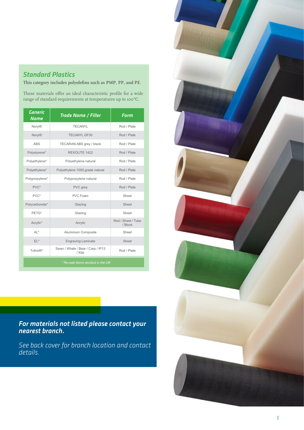### *Standard Plastics*

**This category includes polyolefins such as PMP, PP, and PE.** 

These materials offer an ideal characteristic profile for a wide range of standard requirements at temperatures up to 100°C.

| <b>Generic</b><br>Name            | <b>Trade Name / Filler</b>                  | Form                          |  |  |
|-----------------------------------|---------------------------------------------|-------------------------------|--|--|
| Noryl®                            | <b>TECANYL</b>                              | Rod / Plate                   |  |  |
| Noryl®                            | <b>TECANYL GF30</b>                         | Rod / Plate                   |  |  |
| <b>ABS</b>                        | TECARAN ABS grey / black                    | Rod / Plate                   |  |  |
| Polystyrene*                      | REXOLITE 1422                               | Rod / Plate                   |  |  |
| Polyethylene*                     | Polyethylene natural                        | Rod / Plate                   |  |  |
| Polyethylene*                     | Polyethylene 1000 grade natural             | Rod / Plate                   |  |  |
| Polypropylene*                    | Polypropylene natural                       | Rod / Plate                   |  |  |
| PVC*                              | PVC grey                                    | Rod / Plate                   |  |  |
| PVC*                              | PVC Foam                                    | Sheet                         |  |  |
| Polycarbonate*                    | Glazing                                     | Sheet                         |  |  |
| PETG*                             | Glazing                                     | Sheet                         |  |  |
| Acrylic*                          | Acrylic                                     | Rod / Sheet / Tube<br>/ Block |  |  |
| $Al *$                            | Aluminium Composite                         | Sheet                         |  |  |
| $EL^*$                            | <b>Engraving Laminate</b>                   | Sheet                         |  |  |
| Tufnol®*                          | Swan / Whale / Bear / Carp / IP13<br>/ Kite | Rod / Plate                   |  |  |
| * Re-sale items stocked in the UK |                                             |                               |  |  |

*For materials not listed please contact your nearest branch.*

*See back cover for branch location and contact details.*

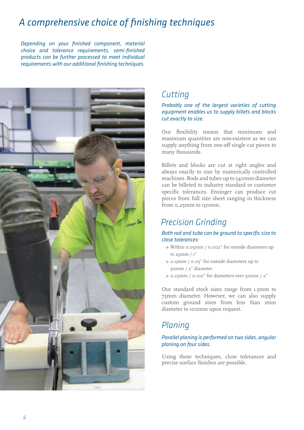# *A comprehensive choice of finishing techniques*

*Depending on your finished component, material choice and tolerance requirements, semi-finished products can be further processed to meet individual requirements with our additional finishing techniques.*



## *Cutting*

#### *Probably one of the largest varieties of cutting equipment enables us to supply billets and blocks cut exactly to size.*

Our flexibility means that minimum and maximum quantities are non-existent as we can supply anything from one-off single cut pieces to many thousands.

Billets and blocks are cut at right angles and always exactly to size by numerically controlled machines. Rods and tubes up to 540mm diameter can be billeted to industry standard or customer specific tolerances. Ensinger can produce cut pieces from full size sheet ranging in thickness from 0.25mm to 150mm.

## *Precision Grinding*

#### *Both rod and tube can be ground to specific size to close tolerances:*

- → Within 0.05mm / 0.002" for outside diameters up to  $25$ mm  $/1"$
- → 0.13mm / 0.05" for outside diameters up to 50mm / 2" diameter
- → 0.25mm / 0.010" for diameters over 50mm / 2"

Our standard stock sizes range from 1.5mm to 75mm diameter. However, we can also supply custom ground sizes from less than 1mm diameter to 100mm upon request.

# *Planing*

#### *Parallel planing is performed on two sides, angular planing on four sides.*

Using these techniques, close tolerances and precise surface finishes are possible.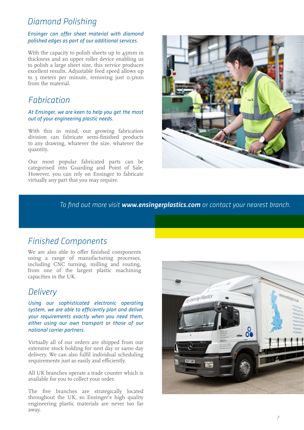### *Diamond Polishing*

#### *Ensinger can offer sheet material with diamond polished edges as part of our additional services.*

With the capacity to polish sheets up to 45mm in thickness and an upper roller device enabling us to polish a large sheet size, this service produces excellent results. Adjustable feed speed allows up to 3 meters per minute, removing just 0.5mm from the material.

### *Fabrication*

#### *At Ensinger, we are keen to help you get the most out of your engineering plastic needs.*

With this in mind, our growing fabrication division can fabricate semi-finished products to any drawing, whatever the size, whatever the quantity.

Our most popular fabricated parts can be categorised into Guarding and Point of Sale. However, you can rely on Ensinger to fabricate virtually any part that you may require.



*To find out more visit www.ensingerplastics.com or contact your nearest branch.*

## *Finished Components*

We are also able to offer finished components using a range of manufacturing processes, including CNC turning, milling and routing, from one of the largest plastic machining capacities in the UK.

### *Delivery*

*Using our sophisticated electronic operating system, we are able to efficiently plan and deliver your requirements exactly when you need them, either using our own transport or those of our national carrier partners.* 

Virtually all of our orders are shipped from our extensive stock holding for next day or same day delivery. We can also fulfil individual scheduling requirements just as easily and efficiently.

All UK branches operate a trade counter which is available for you to collect your order.

The five branches are strategically located throughout the UK, so Ensinger's high quality engineering plastic materials are never too far away.